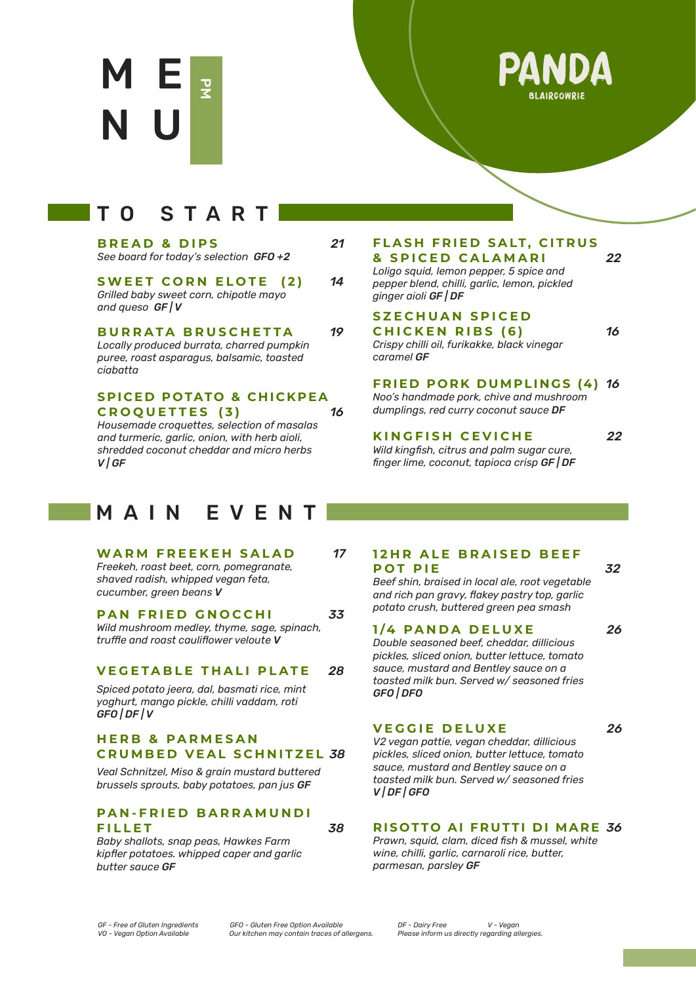



# TO START

| <b>BREAD &amp; DIPS</b>                       | 21 |
|-----------------------------------------------|----|
| See board for today's selection <b>GFO +2</b> |    |

#### **SWEET CORN ELOTE (2)** *14 Grilled baby sweet corn, chipotle mayo and queso GF | V*

#### **BURRATA BRUSCHETTA** *19*

*Locally produced burrata, charred pumpkin puree, roast asparagus, balsamic, toasted ciabatta*

**SPICED POTATO & CHICKPEA CROQUETTES ( 3 )** *16*

*Housemade croquettes, selection of masalas and turmeric, garlic, onion, with herb aioli, shredded coconut cheddar and micro herbs V | GF*

## MAIN EVENT

#### **WARM FREEKEH SALAD** *17*

*Freekeh, roast beet, corn, pomegranate, shaved radish, whipped vegan feta, cucumber, green beans V*

## **PAN FRIED GNOCCHI** *33*

*Wild mushroom medley, thyme, sage, spinach, truffle and roast cauliflower veloute V*

### **VEGETABLE THALI PLATE** *28*

*Spiced potato jeera, dal, basmati rice, mint yoghurt, mango pickle, chilli vaddam, roti GFO | DF | V*

#### **HERB & PARMESAN CRUMBED VEAL SCHNITZEL** *38*

*Veal Schnitzel, Miso & grain mustard buttered brussels sprouts, baby potatoes, pan jus GF*

### **PAN-FRIED BARRAMUNDI FILLET** *38*

*Baby shallots, snap peas, Hawkes Farm kipfler potatoes. whipped caper and garlic butter sauce GF*

## **FLASH FRIED SALT, CITRUS & SPICED CALAMARI** *22*

*Loligo squid, lemon pepper, 5 spice and pepper blend, chilli, garlic, lemon, pickled ginger aioli GF | DF*

#### **SZECHUAN SPICED CHICKEN RIBS (6)** *16 Crispy chilli oil, furikakke, black vinegar*

*caramel GF*

**FRIED PORK DUMPLINGS (4)** *16 Noo's handmade pork, chive and mushroom dumplings, red curry coconut sauce DF*

### **KINGFISH CEVICHE** 22

*Wild kingfish, citrus and palm sugar cure, finger lime, coconut, tapioca crisp GF | DF*

## **12HR ALE BRAISED BEEF POT PIE** *32*

*Beef shin, braised in local ale, root vegetable and rich pan gravy, flakey pastry top, garlic potato crush, buttered green pea smash*

#### **1 /4 P A N D A D E L U X E** *26*

*Double seasoned beef, cheddar, dillicious pickles, sliced onion, butter lettuce, tomato sauce, mustard and Bentley sauce on a toasted milk bun. Served w/ seasoned fries GFO | DFO*

#### **VEGGIE DELUXE** 26

*V2 vegan pattie, vegan cheddar, dillicious pickles, sliced onion, butter lettuce, tomato sauce, mustard and Bentley sauce on a toasted milk bun. Served w/ seasoned fries V | DF | GFO*

## **RISOTTO AI FRUTTI DI MARE** *36*

*Prawn, squid, clam, diced fish & mussel, white wine, chilli, garlic, carnaroli rice, butter, parmesan, parsley GF*